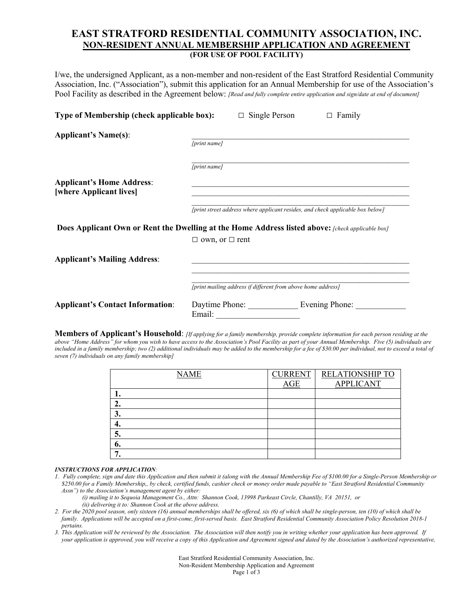## **EAST STRATFORD RESIDENTIAL COMMUNITY ASSOCIATION, INC. NON-RESIDENT ANNUAL MEMBERSHIP APPLICATION AND AGREEMENT (FOR USE OF POOL FACILITY)**

I/we, the undersigned Applicant, as a non-member and non-resident of the East Stratford Residential Community Association, Inc. ("Association"), submit this application for an Annual Membership for use of the Association's Pool Facility as described in the Agreement below: *[Read and fully complete entire application and sign/date at end of document]*

| Type of Membership (check applicable box):                                                              |                                                              | Single Person<br>$\Box$       | $\Box$ Family                                                                  |
|---------------------------------------------------------------------------------------------------------|--------------------------------------------------------------|-------------------------------|--------------------------------------------------------------------------------|
| <b>Applicant's Name(s):</b>                                                                             | [print name]                                                 |                               |                                                                                |
|                                                                                                         | [print name]                                                 |                               |                                                                                |
| <b>Applicant's Home Address:</b><br>[where Applicant lives]                                             |                                                              |                               |                                                                                |
|                                                                                                         |                                                              |                               | [print street address where applicant resides, and check applicable box below] |
| <b>Does Applicant Own or Rent the Dwelling at the Home Address listed above:</b> [check applicable box] |                                                              |                               |                                                                                |
|                                                                                                         | $\Box$ own, or $\Box$ rent                                   |                               |                                                                                |
| <b>Applicant's Mailing Address:</b>                                                                     |                                                              |                               |                                                                                |
|                                                                                                         | [print mailing address if different from above home address] |                               |                                                                                |
| <b>Applicant's Contact Information:</b>                                                                 | Email:                                                       | Daytime Phone: Evening Phone: |                                                                                |

**Members of Applicant's Household**: *[If applying for a family membership, provide complete information for each person residing at the above "Home Address" for whom you wish to have access to the Association's Pool Facility as part of your Annual Membership. Five (5) individuals are*  included in a family membership; two (2) additional individuals may be added to the membership for a fee of \$30.00 per individual, not to exceed a total of *seven (7) individuals on any family membership]*

| <b>NAME</b> | <b>CURRENT</b><br>AGE | RELATIONSHIP TO<br><b>APPLICANT</b> |
|-------------|-----------------------|-------------------------------------|
|             |                       |                                     |
| ٠.          |                       |                                     |
| 3.          |                       |                                     |
|             |                       |                                     |
|             |                       |                                     |
| o.          |                       |                                     |
| 7           |                       |                                     |

## *INSTRUCTIONS FOR APPLICATION:*

- *1. Fully complete, sign and date this Application and then submit it (along with the Annual Membership Fee of \$100.00 for a Single-Person Membership or \$250.00 for a Family Membership,, by check, certified funds, cashier check or money order made payable to "East Stratford Residential Community Assn") to the Association's management agent by either:* 
	- *(i) mailing it to Sequoia Management Co., Attn: Shannon Cook, 13998 Parkeast Circle, Chantilly, VA 20151, or (ii) delivering it to: Shannon Cook at the above address.*
- *2. For the 2020 pool season, only sixteen (16) annual memberships shall be offered, six (6) of which shall be single-person, ten (10) of which shall be family. Applications will be accepted on a first-come, first-served basis. East Stratford Residential Community Association Policy Resolution 2018-1 pertains.*
- *3. This Application will be reviewed by the Association. The Association will then notify you in writing whether your application has been approved. If your application is approved, you will receive a copy of this Application and Agreement signed and dated by the Association's authorized representative,*

East Stratford Residential Community Association, Inc. Non-Resident Membership Application and Agreement Page 1 of 3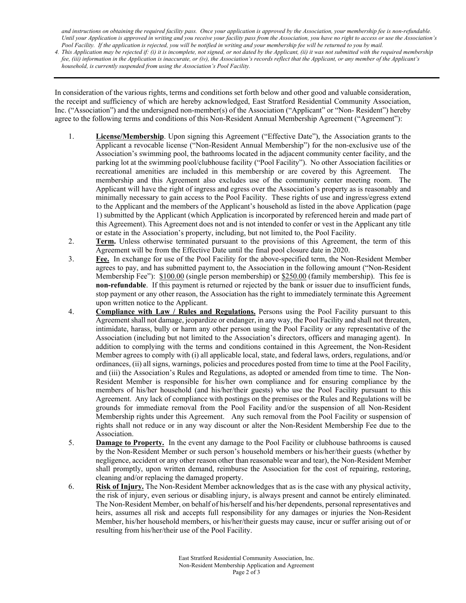*and instructions on obtaining the required facility pass. Once your application is approved by the Association, your membership fee is non-refundable. Until your Application is approved in writing and you receive your facility pass from the Association, you have no right to access or use the Association's Pool Facility. If the application is rejected, you will be notified in writing and your membership fee will be returned to you by mail.*

*4. This Application may be rejected if: (i) it is incomplete, not signed, or not dated by the Applicant, (ii) it was not submitted with the required membership fee, (iii) information in the Application is inaccurate, or (iv), the Association's records reflect that the Applicant, or any member of the Applicant's household, is currently suspended from using the Association's Pool Facility.* 

In consideration of the various rights, terms and conditions set forth below and other good and valuable consideration, the receipt and sufficiency of which are hereby acknowledged, East Stratford Residential Community Association, Inc. ("Association") and the undersigned non-member(s) of the Association ("Applicant" or "Non- Resident") hereby agree to the following terms and conditions of this Non-Resident Annual Membership Agreement ("Agreement"):

- 1. **License/Membership**. Upon signing this Agreement ("Effective Date"), the Association grants to the Applicant a revocable license ("Non-Resident Annual Membership") for the non-exclusive use of the Association's swimming pool, the bathrooms located in the adjacent community center facility, and the parking lot at the swimming pool/clubhouse facility ("Pool Facility"). No other Association facilities or recreational amenities are included in this membership or are covered by this Agreement. The membership and this Agreement also excludes use of the community center meeting room. The Applicant will have the right of ingress and egress over the Association's property as is reasonably and minimally necessary to gain access to the Pool Facility. These rights of use and ingress/egress extend to the Applicant and the members of the Applicant's household as listed in the above Application (page 1) submitted by the Applicant (which Application is incorporated by referenced herein and made part of this Agreement). This Agreement does not and is not intended to confer or vest in the Applicant any title or estate in the Association's property, including, but not limited to, the Pool Facility.
- 2. **Term.** Unless otherwise terminated pursuant to the provisions of this Agreement, the term of this Agreement will be from the Effective Date until the final pool closure date in 2020.
- 3. **Fee.** In exchange for use of the Pool Facility for the above-specified term, the Non-Resident Member agrees to pay, and has submitted payment to, the Association in the following amount ("Non-Resident Membership Fee"): \$100.00 (single person membership) or \$250.00 (family membership). This fee is **non-refundable**. If this payment is returned or rejected by the bank or issuer due to insufficient funds, stop payment or any other reason, the Association has the right to immediately terminate this Agreement upon written notice to the Applicant.
- 4. **Compliance with Law / Rules and Regulations.** Persons using the Pool Facility pursuant to this Agreement shall not damage, jeopardize or endanger, in any way, the Pool Facility and shall not threaten, intimidate, harass, bully or harm any other person using the Pool Facility or any representative of the Association (including but not limited to the Association's directors, officers and managing agent). In addition to complying with the terms and conditions contained in this Agreement, the Non-Resident Member agrees to comply with (i) all applicable local, state, and federal laws, orders, regulations, and/or ordinances, (ii) all signs, warnings, policies and procedures posted from time to time at the Pool Facility, and (iii) the Association's Rules and Regulations, as adopted or amended from time to time. The Non-Resident Member is responsible for his/her own compliance and for ensuring compliance by the members of his/her household (and his/her/their guests) who use the Pool Facility pursuant to this Agreement. Any lack of compliance with postings on the premises or the Rules and Regulations will be grounds for immediate removal from the Pool Facility and/or the suspension of all Non-Resident Membership rights under this Agreement. Any such removal from the Pool Facility or suspension of rights shall not reduce or in any way discount or alter the Non-Resident Membership Fee due to the Association.
- 5. **Damage to Property.** In the event any damage to the Pool Facility or clubhouse bathrooms is caused by the Non-Resident Member or such person's household members or his/her/their guests (whether by negligence, accident or any other reason other than reasonable wear and tear), the Non-Resident Member shall promptly, upon written demand, reimburse the Association for the cost of repairing, restoring, cleaning and/or replacing the damaged property.
- 6. **Risk of Injury.** The Non-Resident Member acknowledges that as is the case with any physical activity, the risk of injury, even serious or disabling injury, is always present and cannot be entirely eliminated. The Non-Resident Member, on behalf of his/herself and his/her dependents, personal representatives and heirs, assumes all risk and accepts full responsibility for any damages or injuries the Non-Resident Member, his/her household members, or his/her/their guests may cause, incur or suffer arising out of or resulting from his/her/their use of the Pool Facility.